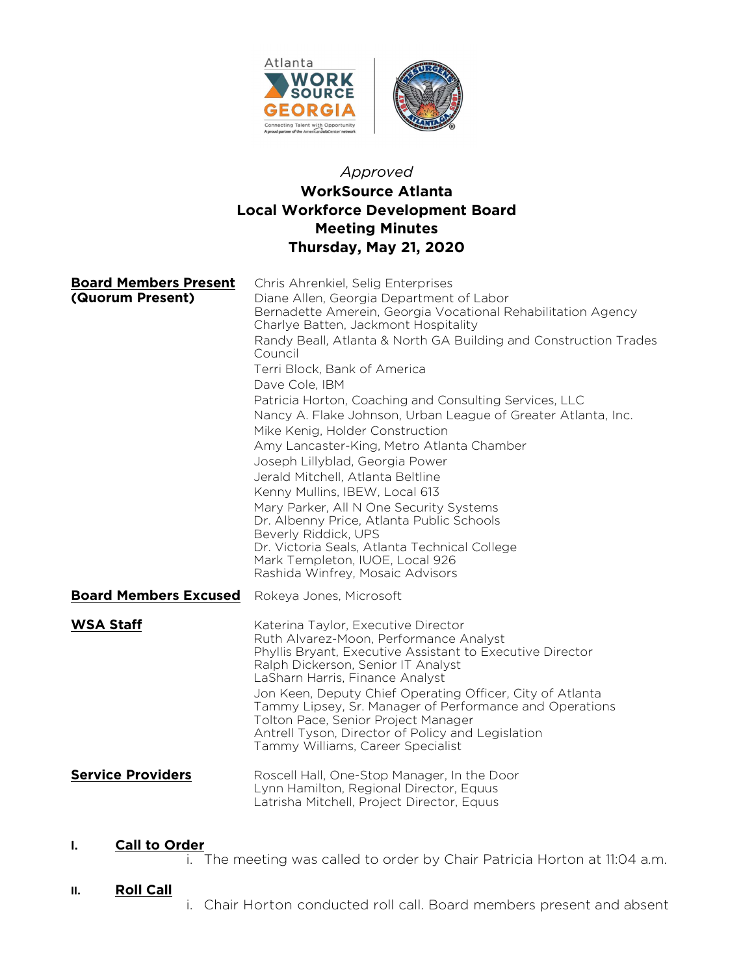

# Approved WorkSource Atlanta Local Workforce Development Board Meeting Minutes Thursday, May 21, 2020

| <b>Board Members Present</b><br>(Quorum Present) | Chris Ahrenkiel, Selig Enterprises<br>Diane Allen, Georgia Department of Labor<br>Bernadette Amerein, Georgia Vocational Rehabilitation Agency<br>Charlye Batten, Jackmont Hospitality<br>Randy Beall, Atlanta & North GA Building and Construction Trades<br>Council<br>Terri Block, Bank of America<br>Dave Cole, IBM<br>Patricia Horton, Coaching and Consulting Services, LLC<br>Nancy A. Flake Johnson, Urban League of Greater Atlanta, Inc.<br>Mike Kenig, Holder Construction<br>Amy Lancaster-King, Metro Atlanta Chamber<br>Joseph Lillyblad, Georgia Power<br>Jerald Mitchell, Atlanta Beltline<br>Kenny Mullins, IBEW, Local 613<br>Mary Parker, All N One Security Systems<br>Dr. Albenny Price, Atlanta Public Schools<br>Beverly Riddick, UPS<br>Dr. Victoria Seals, Atlanta Technical College<br>Mark Templeton, IUOE, Local 926<br>Rashida Winfrey, Mosaic Advisors |
|--------------------------------------------------|--------------------------------------------------------------------------------------------------------------------------------------------------------------------------------------------------------------------------------------------------------------------------------------------------------------------------------------------------------------------------------------------------------------------------------------------------------------------------------------------------------------------------------------------------------------------------------------------------------------------------------------------------------------------------------------------------------------------------------------------------------------------------------------------------------------------------------------------------------------------------------------|
| <b>Board Members Excused</b>                     | Rokeya Jones, Microsoft                                                                                                                                                                                                                                                                                                                                                                                                                                                                                                                                                                                                                                                                                                                                                                                                                                                              |
| <b>WSA Staff</b>                                 | Katerina Taylor, Executive Director<br>Ruth Alvarez-Moon, Performance Analyst<br>Phyllis Bryant, Executive Assistant to Executive Director<br>Ralph Dickerson, Senior IT Analyst<br>LaSharn Harris, Finance Analyst<br>Jon Keen, Deputy Chief Operating Officer, City of Atlanta<br>Tammy Lipsey, Sr. Manager of Performance and Operations<br>Tolton Pace, Senior Project Manager<br>Antrell Tyson, Director of Policy and Legislation<br>Tammy Williams, Career Specialist                                                                                                                                                                                                                                                                                                                                                                                                         |
| <b>Service Providers</b>                         | Roscell Hall, One-Stop Manager, In the Door<br>Lynn Hamilton, Regional Director, Equus<br>Latrisha Mitchell, Project Director, Equus                                                                                                                                                                                                                                                                                                                                                                                                                                                                                                                                                                                                                                                                                                                                                 |

## I. Call to Order

i. The meeting was called to order by Chair Patricia Horton at 11:04 a.m.

## II. Roll Call

i. Chair Horton conducted roll call. Board members present and absent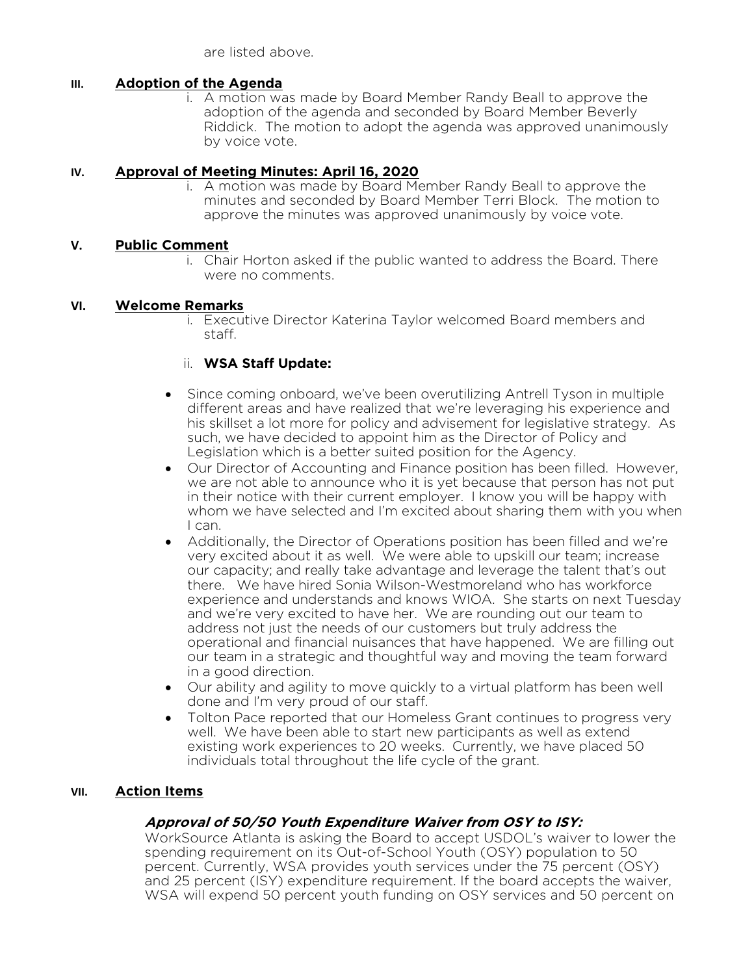are listed above.

### III. Adoption of the Agenda

i. A motion was made by Board Member Randy Beall to approve the adoption of the agenda and seconded by Board Member Beverly Riddick. The motion to adopt the agenda was approved unanimously by voice vote.

### IV. Approval of Meeting Minutes: April 16, 2020

i. A motion was made by Board Member Randy Beall to approve the minutes and seconded by Board Member Terri Block. The motion to approve the minutes was approved unanimously by voice vote.

#### V. Public Comment

i. Chair Horton asked if the public wanted to address the Board. There were no comments.

#### VI. Welcome Remarks

i. Executive Director Katerina Taylor welcomed Board members and staff.

### ii. WSA Staff Update:

- Since coming onboard, we've been overutilizing Antrell Tyson in multiple different areas and have realized that we're leveraging his experience and his skillset a lot more for policy and advisement for legislative strategy. As such, we have decided to appoint him as the Director of Policy and Legislation which is a better suited position for the Agency.
- Our Director of Accounting and Finance position has been filled. However, we are not able to announce who it is yet because that person has not put in their notice with their current employer. I know you will be happy with whom we have selected and I'm excited about sharing them with you when I can.
- Additionally, the Director of Operations position has been filled and we're very excited about it as well. We were able to upskill our team; increase our capacity; and really take advantage and leverage the talent that's out there. We have hired Sonia Wilson-Westmoreland who has workforce experience and understands and knows WIOA. She starts on next Tuesday and we're very excited to have her. We are rounding out our team to address not just the needs of our customers but truly address the operational and financial nuisances that have happened. We are filling out our team in a strategic and thoughtful way and moving the team forward in a good direction.
- Our ability and agility to move quickly to a virtual platform has been well done and I'm very proud of our staff.
- Tolton Pace reported that our Homeless Grant continues to progress very well. We have been able to start new participants as well as extend existing work experiences to 20 weeks. Currently, we have placed 50 individuals total throughout the life cycle of the grant.

### VII. Action Items

### Approval of 50/50 Youth Expenditure Waiver from OSY to ISY:

WorkSource Atlanta is asking the Board to accept USDOL's waiver to lower the spending requirement on its Out-of-School Youth (OSY) population to 50 percent. Currently, WSA provides youth services under the 75 percent (OSY) and 25 percent (ISY) expenditure requirement. If the board accepts the waiver, WSA will expend 50 percent youth funding on OSY services and 50 percent on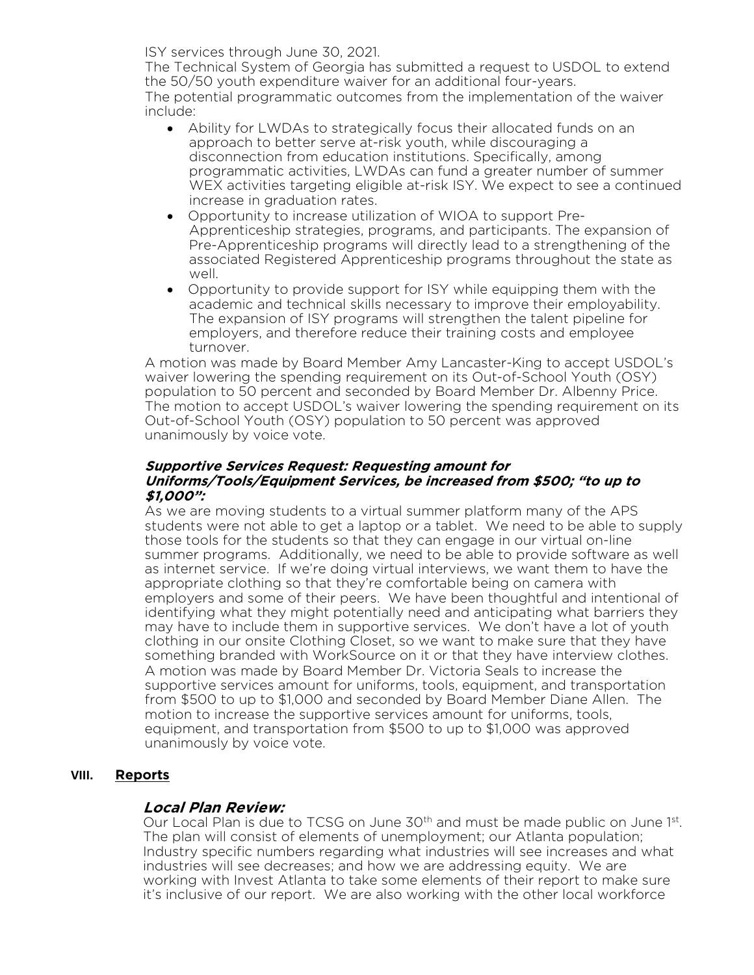ISY services through June 30, 2021.

The Technical System of Georgia has submitted a request to USDOL to extend the 50/50 youth expenditure waiver for an additional four-years. The potential programmatic outcomes from the implementation of the waiver include:

- Ability for LWDAs to strategically focus their allocated funds on an approach to better serve at-risk youth, while discouraging a disconnection from education institutions. Specifically, among programmatic activities, LWDAs can fund a greater number of summer WEX activities targeting eligible at-risk ISY. We expect to see a continued increase in graduation rates.
- Opportunity to increase utilization of WIOA to support Pre-Apprenticeship strategies, programs, and participants. The expansion of Pre-Apprenticeship programs will directly lead to a strengthening of the associated Registered Apprenticeship programs throughout the state as well.
- Opportunity to provide support for ISY while equipping them with the academic and technical skills necessary to improve their employability. The expansion of ISY programs will strengthen the talent pipeline for employers, and therefore reduce their training costs and employee turnover.

A motion was made by Board Member Amy Lancaster-King to accept USDOL's waiver lowering the spending requirement on its Out-of-School Youth (OSY) population to 50 percent and seconded by Board Member Dr. Albenny Price. The motion to accept USDOL's waiver lowering the spending requirement on its Out-of-School Youth (OSY) population to 50 percent was approved unanimously by voice vote.

#### Supportive Services Request: Requesting amount for Uniforms/Tools/Equipment Services, be increased from \$500; "to up to \$1,000":

As we are moving students to a virtual summer platform many of the APS students were not able to get a laptop or a tablet. We need to be able to supply those tools for the students so that they can engage in our virtual on-line summer programs. Additionally, we need to be able to provide software as well as internet service. If we're doing virtual interviews, we want them to have the appropriate clothing so that they're comfortable being on camera with employers and some of their peers. We have been thoughtful and intentional of identifying what they might potentially need and anticipating what barriers they may have to include them in supportive services. We don't have a lot of youth clothing in our onsite Clothing Closet, so we want to make sure that they have something branded with WorkSource on it or that they have interview clothes. A motion was made by Board Member Dr. Victoria Seals to increase the supportive services amount for uniforms, tools, equipment, and transportation from \$500 to up to \$1,000 and seconded by Board Member Diane Allen. The motion to increase the supportive services amount for uniforms, tools, equipment, and transportation from \$500 to up to \$1,000 was approved unanimously by voice vote.

## VIII. Reports

## Local Plan Review:

Our Local Plan is due to TCSG on June 30<sup>th</sup> and must be made public on June 1st. The plan will consist of elements of unemployment; our Atlanta population; Industry specific numbers regarding what industries will see increases and what industries will see decreases; and how we are addressing equity. We are working with Invest Atlanta to take some elements of their report to make sure it's inclusive of our report. We are also working with the other local workforce